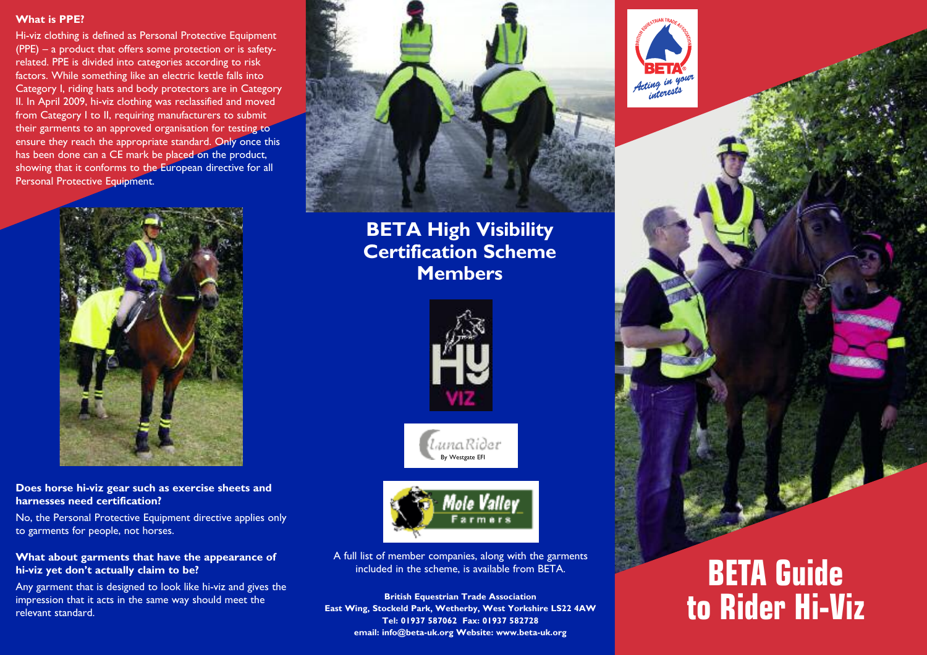### **What is PPE?**

Hi-viz clothing is defined as Personal Protective Equipment (PPE) – a product that offers some protection or is safetyrelated. PPE is divided into categories according to risk factors. While something like an electric kettle falls into Category I, riding hats and body protectors are in Category II. In April 2009, hi-viz clothing was reclassified and moved from Category I to II, requiring manufacturers to submit their garments to an approved organisation for testing to ensure they reach the appropriate standard. Only once this has been done can a CE mark be placed on the product, showing that it conforms to the European directive for all Personal Protective Equipment.



**Does horse hi-viz gear such as exercise sheets and harnesses need certification?**

No, the Personal Protective Equipment directive applies only to garments for people, not horses.

**What about garments that have the appearance of hi-viz yet don't actually claim to be?**

Any garment that is designed to look like hi-viz and gives the impression that it acts in the same way should meet the relevant standard.



**BETA High Visibility Certification Scheme Members**



,<br>l<sub>i</sub>unaRi∂et By Westgate EFI



A full list of member companies, along with the garments included in the scheme, is available from BETA.

**British Equestrian Trade Association East Wing, Stockeld Park, Wetherby, West Yorkshire LS22 4AW Tel: 01937 587062 Fax: 01937 582728 email: info@beta-uk.org Website: www.beta-uk.org**



# **BETA Guide to Rider Hi-Viz**